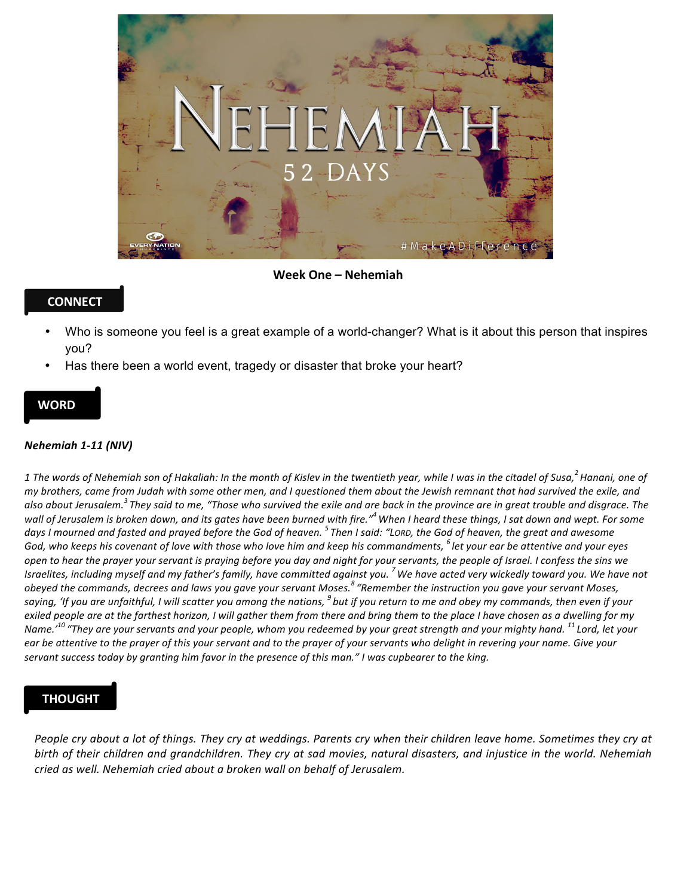

**Week One – Nehemiah** 

## **CONNECT**

- Who is someone you feel is a great example of a world-changer? What is it about this person that inspires you?
- Has there been a world event, tragedy or disaster that broke your heart?

### **WORD**

#### *Nehemiah 1-11 (NIV)*

 $1$  The words of Nehemiah son of Hakaliah: In the month of Kislev in the twentieth year, while I was in the citadel of Susa,<sup>2</sup> Hanani, one of *my* brothers, came from Judah with some other men, and I questioned them about the Jewish remnant that had survived the exile, and also about Jerusalem.<sup>3</sup> They said to me, "Those who survived the exile and are back in the province are in great trouble and disgrace. The wall of Jerusalem is broken down, and its gates have been burned with fire."<sup>4</sup> When I heard these things, I sat down and wept. For some days I mourned and fasted and prayed before the God of heaven. <sup>5</sup> Then I said: "Lorp, the God of heaven, the great and awesome God, who keeps his covenant of love with those who love him and keep his commandments,  $^6$  let your ear be attentive and your eyes open to hear the prayer your servant is praying before you day and night for your servants, the people of Israel. I confess the sins we Israelites, including myself and my father's family, have committed against you. <sup>7</sup> We have acted very wickedly toward you. We have not obeyed the commands, decrees and laws you gave your servant Moses.<sup>8</sup> "Remember the instruction you gave your servant Moses, saying, 'If you are unfaithful, I will scatter you among the nations, <sup>9</sup> but if you return to me and obey my commands, then even if your exiled people are at the farthest horizon, I will gather them from there and bring them to the place I have chosen as a dwelling for my *Name.*<sup>'10</sup> "They are your servants and your people, whom you redeemed by your great strength and your mighty hand. <sup>11</sup> Lord, let your ear be attentive to the prayer of this your servant and to the prayer of your servants who delight in revering your name. Give your *servant success today by granting him favor in the presence of this man." I was cupbearer to the king.* 

## **THOUGHT**

People cry about a lot of things. They cry at weddings. Parents cry when their children leave home. Sometimes they cry at birth of their children and grandchildren. They cry at sad movies, natural disasters, and injustice in the world. Nehemiah *cried as well.* Nehemiah cried about a broken wall on behalf of Jerusalem.